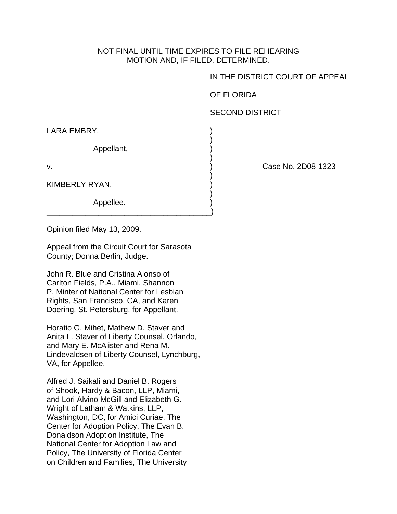## NOT FINAL UNTIL TIME EXPIRES TO FILE REHEARING MOTION AND, IF FILED, DETERMINED.

IN THE DISTRICT COURT OF APPEAL

OF FLORIDA

SECOND DISTRICT

LARA EMBRY,

 $)$ Appellant, )

 $)$ 

 $)$ 

\_\_\_\_\_\_\_\_\_\_\_\_\_\_\_\_\_\_\_\_\_\_\_\_\_\_\_\_\_\_\_\_\_\_\_\_\_\_)

KIMBERLY RYAN,

 $)$ Appellee.

v. ) Case No. 2D08-1323

Opinion filed May 13, 2009.

Appeal from the Circuit Court for Sarasota County; Donna Berlin, Judge.

John R. Blue and Cristina Alonso of Carlton Fields, P.A., Miami, Shannon P. Minter of National Center for Lesbian Rights, San Francisco, CA, and Karen Doering, St. Petersburg, for Appellant.

Horatio G. Mihet, Mathew D. Staver and Anita L. Staver of Liberty Counsel, Orlando, and Mary E. McAlister and Rena M. Lindevaldsen of Liberty Counsel, Lynchburg, VA, for Appellee,

Alfred J. Saikali and Daniel B. Rogers of Shook, Hardy & Bacon, LLP, Miami, and Lori Alvino McGill and Elizabeth G. Wright of Latham & Watkins, LLP, Washington, DC, for Amici Curiae, The Center for Adoption Policy, The Evan B. Donaldson Adoption Institute, The National Center for Adoption Law and Policy, The University of Florida Center on Children and Families, The University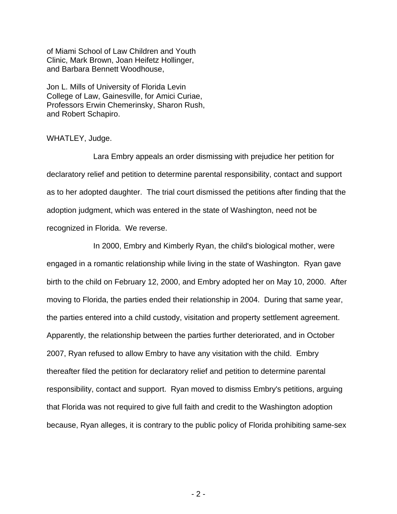of Miami School of Law Children and Youth Clinic, Mark Brown, Joan Heifetz Hollinger, and Barbara Bennett Woodhouse,

Jon L. Mills of University of Florida Levin College of Law, Gainesville, for Amici Curiae, Professors Erwin Chemerinsky, Sharon Rush, and Robert Schapiro.

## WHATLEY, Judge.

 Lara Embry appeals an order dismissing with prejudice her petition for declaratory relief and petition to determine parental responsibility, contact and support as to her adopted daughter. The trial court dismissed the petitions after finding that the adoption judgment, which was entered in the state of Washington, need not be recognized in Florida. We reverse.

 In 2000, Embry and Kimberly Ryan, the child's biological mother, were engaged in a romantic relationship while living in the state of Washington. Ryan gave birth to the child on February 12, 2000, and Embry adopted her on May 10, 2000. After moving to Florida, the parties ended their relationship in 2004. During that same year, the parties entered into a child custody, visitation and property settlement agreement. Apparently, the relationship between the parties further deteriorated, and in October 2007, Ryan refused to allow Embry to have any visitation with the child. Embry thereafter filed the petition for declaratory relief and petition to determine parental responsibility, contact and support. Ryan moved to dismiss Embry's petitions, arguing that Florida was not required to give full faith and credit to the Washington adoption because, Ryan alleges, it is contrary to the public policy of Florida prohibiting same-sex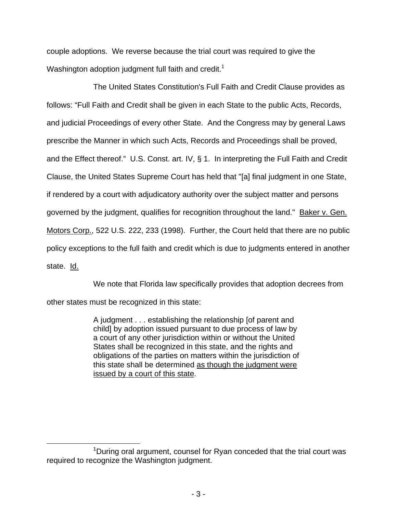couple adoptions. We reverse because the trial court was required to give the Washington adoption judgment full faith and credit.<sup>1</sup>

 The United States Constitution's Full Faith and Credit Clause provides as follows: "Full Faith and Credit shall be given in each State to the public Acts, Records, and judicial Proceedings of every other State. And the Congress may by general Laws prescribe the Manner in which such Acts, Records and Proceedings shall be proved, and the Effect thereof." U.S. Const. art. IV, § 1. In interpreting the Full Faith and Credit Clause, the United States Supreme Court has held that "[a] final judgment in one State, if rendered by a court with adjudicatory authority over the subject matter and persons governed by the judgment, qualifies for recognition throughout the land." Baker v. Gen. Motors Corp., 522 U.S. 222, 233 (1998). Further, the Court held that there are no public policy exceptions to the full faith and credit which is due to judgments entered in another state. Id.

We note that Florida law specifically provides that adoption decrees from

other states must be recognized in this state:

 $\overline{a}$ 

A judgment . . . establishing the relationship [of parent and child] by adoption issued pursuant to due process of law by a court of any other jurisdiction within or without the United States shall be recognized in this state, and the rights and obligations of the parties on matters within the jurisdiction of this state shall be determined as though the judgment were issued by a court of this state.

 $\sim$  1 <sup>1</sup>During oral argument, counsel for Ryan conceded that the trial court was required to recognize the Washington judgment.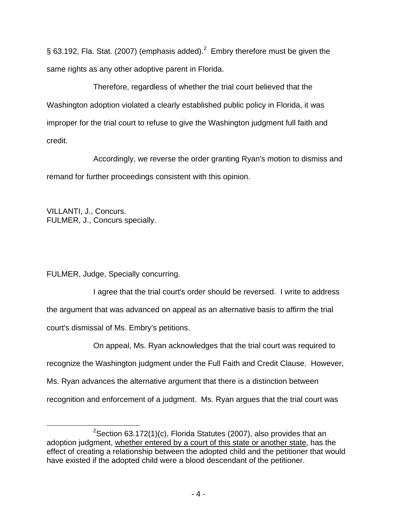§ 63.192, Fla. Stat. (2007) (emphasis added).<sup>2</sup> Embry therefore must be given the same rights as any other adoptive parent in Florida.

 Therefore, regardless of whether the trial court believed that the Washington adoption violated a clearly established public policy in Florida, it was improper for the trial court to refuse to give the Washington judgment full faith and credit.

Accordingly, we reverse the order granting Ryan's motion to dismiss and remand for further proceedings consistent with this opinion.

VILLANTI, J., Concurs. FULMER, J., Concurs specially.

FULMER, Judge, Specially concurring.

 I agree that the trial court's order should be reversed. I write to address the argument that was advanced on appeal as an alternative basis to affirm the trial court's dismissal of Ms. Embry's petitions.

 On appeal, Ms. Ryan acknowledges that the trial court was required to recognize the Washington judgment under the Full Faith and Credit Clause. However, Ms. Ryan advances the alternative argument that there is a distinction between recognition and enforcement of a judgment. Ms. Ryan argues that the trial court was

 $\overline{a}$  <sup>2</sup> <sup>2</sup>Section 63.172(1)(c), Florida Statutes (2007), also provides that an adoption judgment, whether entered by a court of this state or another state, has the effect of creating a relationship between the adopted child and the petitioner that would have existed if the adopted child were a blood descendant of the petitioner.